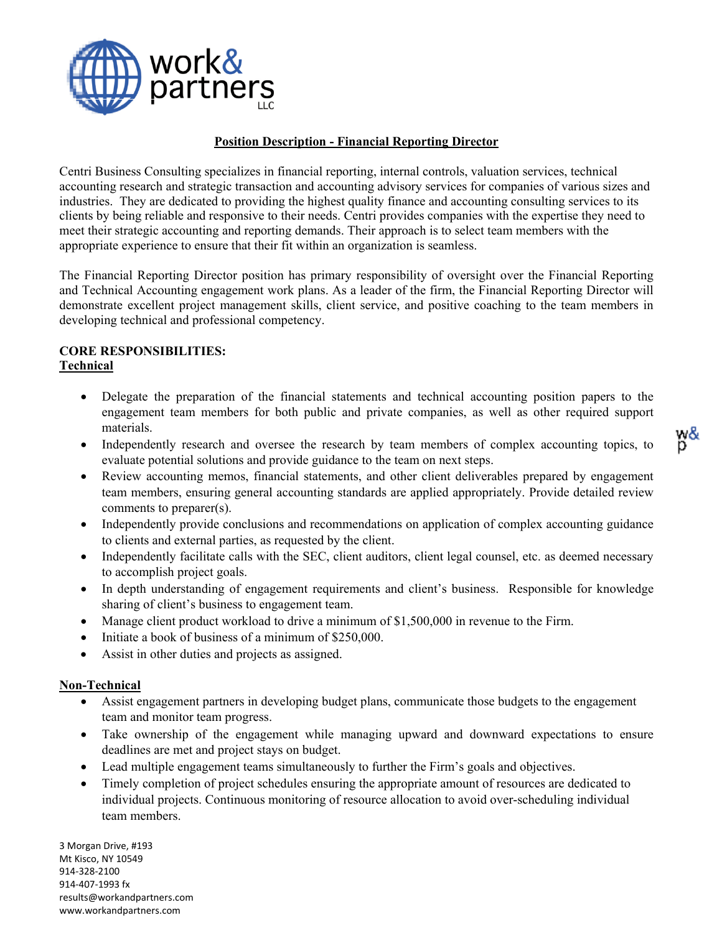

#### **Position Description - Financial Reporting Director**

Centri Business Consulting specializes in financial reporting, internal controls, valuation services, technical accounting research and strategic transaction and accounting advisory services for companies of various sizes and industries. They are dedicated to providing the highest quality finance and accounting consulting services to its clients by being reliable and responsive to their needs. Centri provides companies with the expertise they need to meet their strategic accounting and reporting demands. Their approach is to select team members with the appropriate experience to ensure that their fit within an organization is seamless.

The Financial Reporting Director position has primary responsibility of oversight over the Financial Reporting and Technical Accounting engagement work plans. As a leader of the firm, the Financial Reporting Director will demonstrate excellent project management skills, client service, and positive coaching to the team members in developing technical and professional competency.

# **CORE RESPONSIBILITIES: Technical**

- Delegate the preparation of the financial statements and technical accounting position papers to the engagement team members for both public and private companies, as well as other required support materials.
- Independently research and oversee the research by team members of complex accounting topics, to evaluate potential solutions and provide guidance to the team on next steps.
- Review accounting memos, financial statements, and other client deliverables prepared by engagement team members, ensuring general accounting standards are applied appropriately. Provide detailed review comments to preparer(s).
- Independently provide conclusions and recommendations on application of complex accounting guidance to clients and external parties, as requested by the client.
- Independently facilitate calls with the SEC, client auditors, client legal counsel, etc. as deemed necessary to accomplish project goals.
- In depth understanding of engagement requirements and client's business. Responsible for knowledge sharing of client's business to engagement team.
- Manage client product workload to drive a minimum of \$1,500,000 in revenue to the Firm.
- Initiate a book of business of a minimum of \$250,000.
- Assist in other duties and projects as assigned.

#### **Non-Technical**

- Assist engagement partners in developing budget plans, communicate those budgets to the engagement team and monitor team progress.
- Take ownership of the engagement while managing upward and downward expectations to ensure deadlines are met and project stays on budget.
- Lead multiple engagement teams simultaneously to further the Firm's goals and objectives.
- Timely completion of project schedules ensuring the appropriate amount of resources are dedicated to individual projects. Continuous monitoring of resource allocation to avoid over-scheduling individual team members.

3 Morgan Drive, #193 Mt Kisco, NY 10549 914-328-2100 914-407-1993 fx [results@workandpartners.com](mailto:results@workandpartners.com) www.workandpartners.com